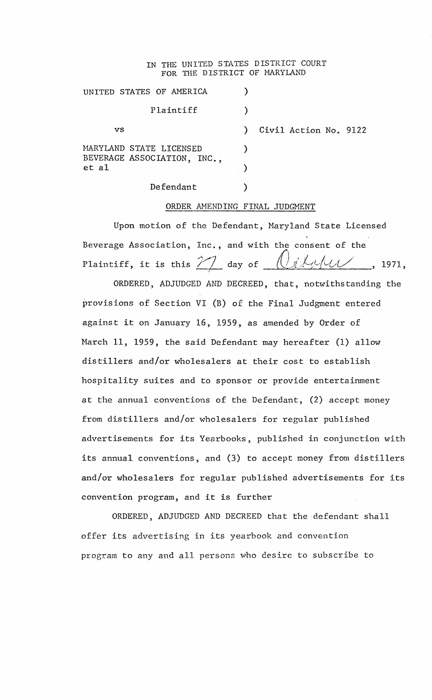## IN THE UNITED STATES DISTRICT COURT FOR THE DISTRICT OF MARYIAND

|       | UNITED STATES OF AMERICA                               |                       |
|-------|--------------------------------------------------------|-----------------------|
|       | Plaintiff                                              |                       |
| vs    |                                                        | Civil Action No. 9122 |
| et al | MARYLAND STATE LICENSED<br>BEVERAGE ASSOCIATION, INC., |                       |
|       |                                                        |                       |
|       | Defendant                                              |                       |

## ORDER AMENDING FINAL JUDGMENT

Upon motion of the Defendant, Maryland State Licensed Beverage Association, Inc., and with the consent of the Plaintiff, it is this  $\frac{1}{2}$  day of  $\frac{1}{2}$   $\frac{1}{2}$   $\frac{1}{2}$ , 1971,

ORDERED, ADJUDGED AND DECREED, that, notwithstanding the provisions of Section VI (B) of the Final Judgment entered against it on January 16, 1959, as amended by Order of March 11, 1959, the said Defendant may hereafter (1) allow distillers and/or wholesalers at their cost to establish hospitality suites and to sponsor or provide entertainment at the annual conventions of the Defendant, (2) accept money from distillers and/or wholesalers for regular published advertisements for its Yearbooks, published in conjunction with its annual conventions, and (3) to accept money from distillers and/or wholesalers for regular published advertisements for its convention program, and it is further

ORDERED, ADJUDGED AND DECREED that the-defendant shall offer its advertising in its yearbook and convention program to any and all persons who desire to subscribe to